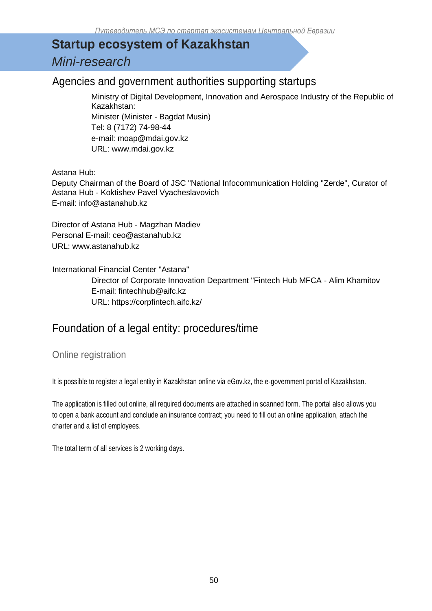## **Startup ecosystem of Kazakhstan** *Mini-research*

### Agencies and government authorities supporting startups

Ministry of Digital Development, Innovation and Aerospace Industry of the Republic of Kazakhstan: Minister (Minister - Bagdat Musin) Tel: 8 (7172) 74-98-44

e-mail: moap@mdai.gov.kz

URL: www.mdai.gov.kz

Astana Hub:

Deputy Chairman of the Board of JSC "National Infocommunication Holding "Zerde", Curator of Astana Hub - Koktishev Pavel Vyacheslavovich E-mail: info@astanahub.kz

Director of Astana Hub - Magzhan Madiev Personal E-mail: ceo@astanahub.kz URL: www.astanahub.kz

International Financial Center "Astana" Director of Corporate Innovation Department "Fintech Hub MFCA - Alim Khamitov E-mail: fintechhub@aifc.kz URL: https://corpfintech.aifc.kz/

### Foundation of a legal entity: procedures/time

Online registration

It is possible to register a legal entity in Kazakhstan online via eGov.kz, the e-government portal of Kazakhstan.

The application is filled out online, all required documents are attached in scanned form. The portal also allows you to open a bank account and conclude an insurance contract; you need to fill out an online application, attach the charter and a list of employees.

The total term of all services is 2 working days.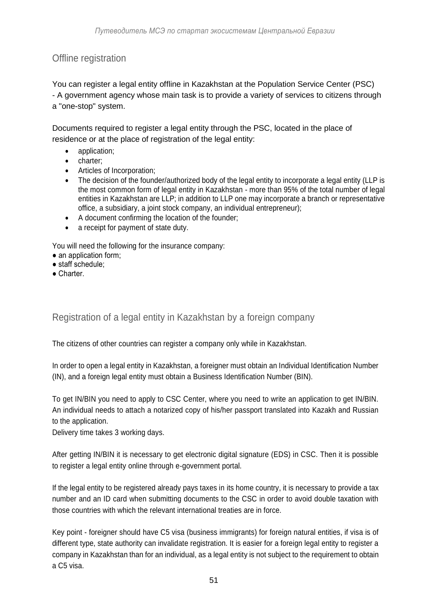#### Offline registration

You can register a legal entity offline in Kazakhstan at the Population Service Center (PSC) - A government agency whose main task is to provide a variety of services to citizens through a "one-stop" system.

Documents required to register a legal entity through the PSC, located in the place of residence or at the place of registration of the legal entity:

- application:
	- charter;
	- Articles of Incorporation;
	- The decision of the founder/authorized body of the legal entity to incorporate a legal entity (LLP is the most common form of legal entity in Kazakhstan - more than 95% of the total number of legal entities in Kazakhstan are LLP; in addition to LLP one may incorporate a branch or representative office, a subsidiary, a joint stock company, an individual entrepreneur);
	- A document confirming the location of the founder;
	- a receipt for payment of state duty.

You will need the following for the insurance company:

- an application form;
- staff schedule;
- Charter.

#### Registration of a legal entity in Kazakhstan by a foreign company

The citizens of other countries can register a company only while in Kazakhstan.

In order to open a legal entity in Kazakhstan, a foreigner must obtain an Individual Identification Number (IN), and a foreign legal entity must obtain a Business Identification Number (BIN).

To get IN/BIN you need to apply to CSC Center, where you need to write an application to get IN/BIN. An individual needs to attach a notarized copy of his/her passport translated into Kazakh and Russian to the application.

Delivery time takes 3 working days.

After getting IN/BIN it is necessary to get electronic digital signature (EDS) in CSC. Then it is possible to register a legal entity online through e-government portal.

If the legal entity to be registered already pays taxes in its home country, it is necessary to provide a tax number and an ID card when submitting documents to the CSC in order to avoid double taxation with those countries with which the relevant international treaties are in force.

Key point - foreigner should have C5 visa (business immigrants) for foreign natural entities, if visa is of different type, state authority can invalidate registration. It is easier for a foreign legal entity to register a company in Kazakhstan than for an individual, as a legal entity is not subject to the requirement to obtain a C5 visa.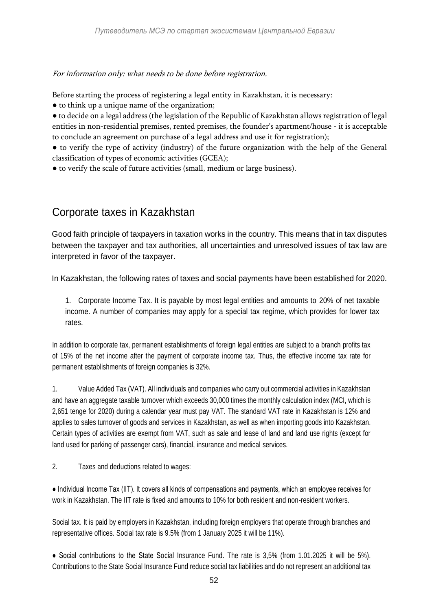For information only: what needs to be done before registration.

Before starting the process of registering a legal entity in Kazakhstan, it is necessary:

● to think up a unique name of the organization;

● to decide on a legal address (the legislation of the Republic of Kazakhstan allows registration of legal entities in non-residential premises, rented premises, the founder's apartment/house - it is acceptable to conclude an agreement on purchase of a legal address and use it for registration);

● to verify the type of activity (industry) of the future organization with the help of the General classification of types of economic activities (GCEA);

● to verify the scale of future activities (small, medium or large business).

## Corporate taxes in Kazakhstan

Good faith principle of taxpayers in taxation works in the country. This means that in tax disputes between the taxpayer and tax authorities, all uncertainties and unresolved issues of tax law are interpreted in favor of the taxpayer.

In Kazakhstan, the following rates of taxes and social payments have been established for 2020.

1. Corporate Income Tax. It is payable by most legal entities and amounts to 20% of net taxable income. A number of companies may apply for a special tax regime, which provides for lower tax rates.

In addition to corporate tax, permanent establishments of foreign legal entities are subject to a branch profits tax of 15% of the net income after the payment of corporate income tax. Thus, the effective income tax rate for permanent establishments of foreign companies is 32%.

1. Value Added Tax (VAT). All individuals and companies who carry out commercial activities in Kazakhstan and have an aggregate taxable turnover which exceeds 30,000 times the monthly calculation index (MCI, which is 2,651 tenge for 2020) during a calendar year must pay VAT. The standard VAT rate in Kazakhstan is 12% and applies to sales turnover of goods and services in Kazakhstan, as well as when importing goods into Kazakhstan. Certain types of activities are exempt from VAT, such as sale and lease of land and land use rights (except for land used for parking of passenger cars), financial, insurance and medical services.

2. Taxes and deductions related to wages:

● Individual Income Tax (IIT). It covers all kinds of compensations and payments, which an employee receives for work in Kazakhstan. The IIT rate is fixed and amounts to 10% for both resident and non-resident workers.

Social tax. It is paid by employers in Kazakhstan, including foreign employers that operate through branches and representative offices. Social tax rate is 9.5% (from 1 January 2025 it will be 11%).

● Social contributions to the State Social Insurance Fund. The rate is 3,5% (from 1.01.2025 it will be 5%). Contributions to the State Social Insurance Fund reduce social tax liabilities and do not represent an additional tax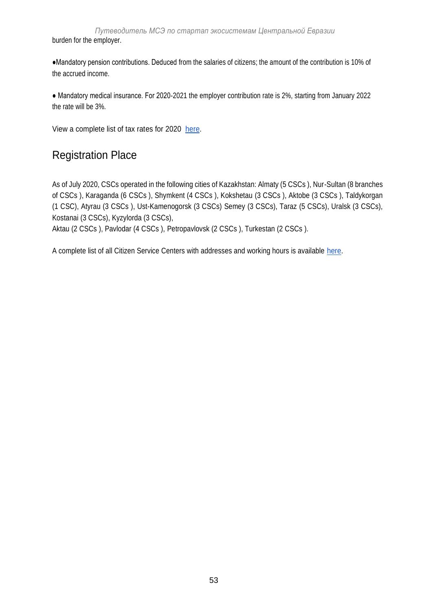*Путеводитель МСЭ по стартап экосистемам Центральной Евразии* burden for the employer.

●Mandatory pension contributions. Deduced from the salaries of citizens; the amount of the contribution is 10% of the accrued income.

● Mandatory medical insurance. For 2020-2021 the employer contribution rate is 2%, starting from January 2022 the rate will be 3%.

View a complete list of tax rates for 2020 [here.](https://online.zakon.kz/Document/?doc_id=32469577&pos=57%3B-46)

## Registration Place

As of July 2020, CSCs operated in the following cities of Kazakhstan: Almaty (5 CSCs ), Nur-Sultan (8 branches of CSCs ), Karaganda (6 CSCs ), Shymkent (4 CSCs ), Kokshetau (3 CSCs ), Aktobe (3 CSCs ), Taldykorgan (1 CSC), Atyrau (3 CSCs ), Ust-Kamenogorsk (3 CSCs) Semey (3 CSCs), Taraz (5 CSCs), Uralsk (3 CSCs), Kostanai (3 CSCs), Kyzylorda (3 CSCs),

Aktau (2 CSCs ), Pavlodar (4 CSCs ), Petropavlovsk (2 CSCs ), Turkestan (2 CSCs ).

A complete list of all Citizen Service Centers with addresses and working hours is available [here.](https://cabinethelp.kz/tsony-kz.html)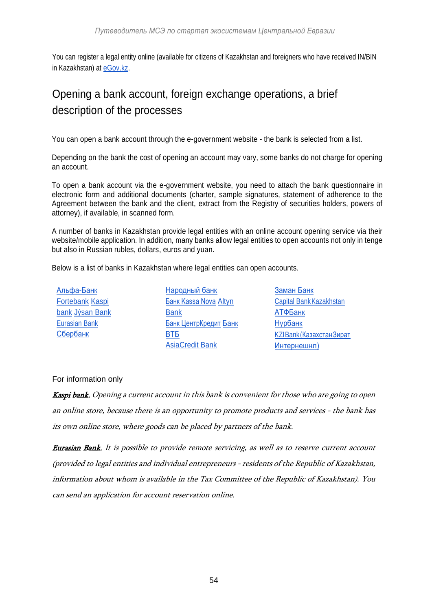You can register a legal entity online (available for citizens of Kazakhstan and foreigners who have received IN/BIN in Kazakhstan) at [eGov.kz.](https://egov.kz/cms/ru)

# Opening a bank account, foreign exchange operations, a brief description of the processes

You can open a bank account through the e-government website - the bank is selected from a list.

Depending on the bank the cost of opening an account may vary, some banks do not charge for opening an account.

To open a bank account via the e-government website, you need to attach the bank questionnaire in electronic form and additional documents (charter, sample signatures, statement of adherence to the Agreement between the bank and the client, extract from the Registry of securities holders, powers of attorney), if available, in scanned form.

A number of banks in Kazakhstan provide legal entities with an online account opening service via their website/mobile application. In addition, many banks allow legal entities to open accounts not only in tenge but also in Russian rubles, dollars, euros and yuan.

Below is a list of banks in Kazakhstan where legal entities can open accounts.

[Альфа-Банк](https://alfabank.kz/) [Fortebank](https://forte.kz/) Kaspi bank [Jýsan](https://jysanbank.kz/ru) Bank [Eurasian](https://eubank.kz/) Bank [Сбербанк](https://www.sberbank.kz/new/)

- [Народный банк](https://halykbank.kz/) [Банк Kassa Nova](https://kassanova.kz/) [Altyn](https://altyn-i.kz/)  [Bank](https://altyn-i.kz/) [Банк ЦентрКредит](https://www.bcc.kz/) [Банк](https://www.vtb-bank.kz/)  [ВТБ](https://www.vtb-bank.kz/) [AsiaCredit Bank](http://asiacreditbank.kz/)
- [Заман](http://zamanbank.kz/) Банк Capital [BankKazakhstan](https://capitalbank.kz/ru) [АТФБанк](https://www.atfbank.kz/) [Нурбанк](https://nurbank.kz/) [KZIBank\(КазахстанЗират](https://kzibank.kz/ru) [Интернешнл\)](https://kzibank.kz/ru)

For information only

Kaspi bank. Opening a current account in this bank is convenient for those who are going to open an online store, because there is an opportunity to promote products and services - the bank has its own online store, where goods can be placed by partners of the bank.

Eurasian Bank. It is possible to provide remote servicing, as well as to reserve current account (provided to legal entities and individual entrepreneurs - residents of the Republic of Kazakhstan, information about whom is available in the Tax Committee of the Republic of Kazakhstan). You can send an application for account reservation online.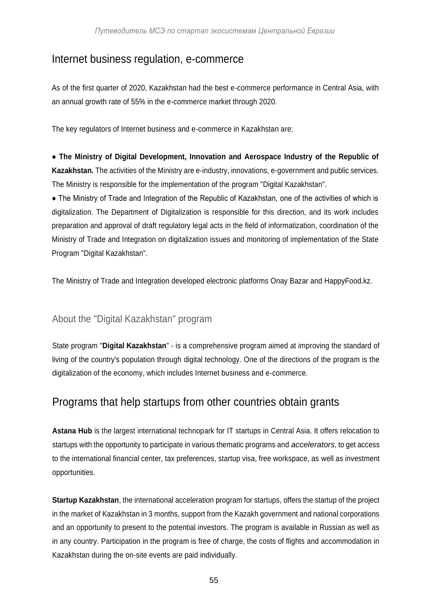#### Internet business regulation, e-commerce

As of the first quarter of 2020, Kazakhstan had the best e-commerce performance in Central Asia, with an annual growth rate of 55% in the e-commerce market through 2020.

The key regulators of Internet business and e-commerce in Kazakhstan are:

● **The Ministry of Digital Development, Innovation and Aerospace Industry of the Republic of Kazakhstan.** The activities of the Ministry are e-industry, innovations, e-government and public services. The Ministry is responsible for the implementation of the program "Digital Kazakhstan".

• The Ministry of Trade and Integration of the Republic of Kazakhstan, one of the activities of which is digitalization. The Department of Digitalization is responsible for this direction, and its work includes preparation and approval of draft regulatory legal acts in the field of informatization, coordination of the Ministry of Trade and Integration on digitalization issues and monitoring of implementation of the State Program "Digital Kazakhstan".

The Ministry of Trade and Integration developed electronic platforms Onay Bazar and HappyFood.kz.

#### About the "Digital Kazakhstan" program

State program "**Digital Kazakhstan**" - is a comprehensive program aimed at improving the standard of living of the country's population through digital technology. One of the directions of the program is the digitalization of the economy, which includes Internet business and e-commerce.

#### Programs that help startups from other countries obtain grants

**Astana Hub** is the largest international technopark for IT startups in Central Asia. It offers relocation to startups with the opportunity to participate in various thematic programs and *accelerators*, to get access to the international financial center, tax preferences, startup visa, free workspace, as well as investment opportunities.

**Startup Kazakhstan**, the international acceleration program for startups, offers the startup of the project in the market of Kazakhstan in 3 months, support from the Kazakh government and national corporations and an opportunity to present to the potential investors. The program is available in Russian as well as in any country. Participation in the program is free of charge, the costs of flights and accommodation in Kazakhstan during the on-site events are paid individually.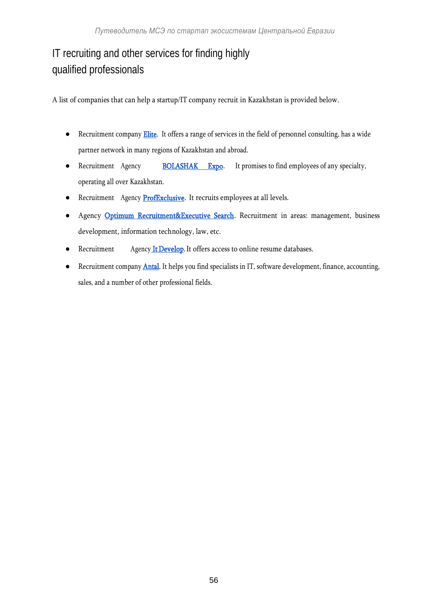# IT recruiting and other services for finding highly qualified professionals

A list of companies that can help a startup/IT company recruit in Kazakhstan is provided below.

- Recruitment company **Elite**. It offers a range of services in the field of personnel consulting, has a wide partner network in many regions of Kazakhstan and abroad.
- Recruitment Agency **[BOLASHAK Expo.](http://www.bolashakexpo2017.asn.kz/)** It promises to find employees of any specialty, operating all over Kazakhstan.
- Recruitment Agency **ProfExclusive**. It recruits employees at all levels.
- Agency [Optimum Recruitment&Executive Search.](https://www.facebook.com/www.optimist.kz/) Recruitment in areas: management, business development, information technology, law, etc.
- Recruitment Agency It Develop. It offers access to online resume databases.
- Recruitment company **Antal**. It helps you find specialists in IT, software development, finance, accounting, sales, and a number of other professional fields.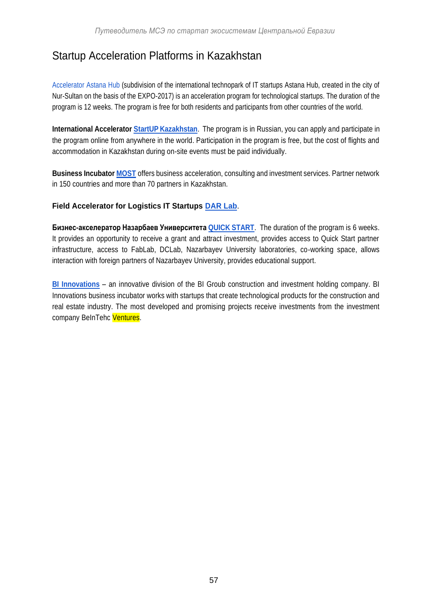## Startup Acceleration Platforms in Kazakhstan

[Accelerator Astana Hub \(](https://accelerator.astanahub.com/9)subdivision of the international technopark of IT startups Astana Hub, created in the city of Nur-Sultan on the basis of the EXPO-2017) is an acceleration program for technological startups. The duration of the program is 12 weeks. The program is free for both residents and participants from other countries of the world.

**International Accelerator StartUP [Kazakhstan](http://startup.techgarden.kz/)**. The program is in Russian, you can apply and participate in the program online from anywhere in the world. Participation in the program is free, but the cost of flights and accommodation in Kazakhstan during on-site events must be paid individually.

**Business Incubato[r MOST](http://most.com.kz/)** offers business acceleration, consulting and investment services. Partner network in 150 countries and more than 70 partners in Kazakhstan.

#### **Field Accelerator for Logistics IT Startups [DAR Lab](https://darlab.asia/)**.

**Бизнес-акселератор Назарбаев Университета QUICK [START](http://nuris.nu.edu.kz/accelerator2020)**. The duration of the program is 6 weeks. It provides an opportunity to receive a grant and attract investment, provides access to Quick Start partner infrastructure, access to FabLab, DCLab, Nazarbayev University laboratories, co-working space, allows interaction with foreign partners of Nazarbayev University, provides educational support.

**[BI Innovations](https://www.facebook.com/bi.innovations/?ref=page_internal)** – an innovative division of the BI Groub construction and investment holding company. BI Innovations business incubator works with startups that create technological products for the construction and real estate industry. The most developed and promising projects receive investments from the investment company BeInTehc Ventures.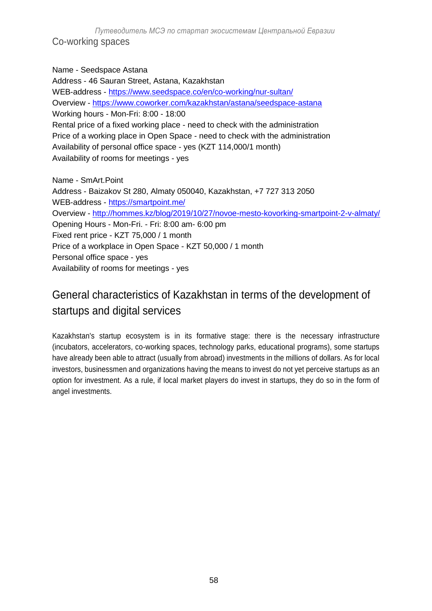*Путеводитель МСЭ по стартап экосистемам Центральной Евразии* Co-working spaces

Name - Seedspace Astana Address - 46 Sauran Street, Astana, Kazakhstan WEB-address - <https://www.seedspace.co/en/co-working/nur-sultan/> Overview - <https://www.coworker.com/kazakhstan/astana/seedspace-astana> Working hours - Mon-Fri: 8:00 - 18:00 Rental price of a fixed working place - need to check with the administration Price of a working place in Open Space - need to check with the administration Availability of personal office space - yes (KZT 114,000/1 month) Availability of rooms for meetings - yes

Name - SmArt.Point Address - Baizakov St 280, Almaty 050040, Kazakhstan, +7 727 313 2050 WEB-address - <https://smartpoint.me/> Overview - <http://hommes.kz/blog/2019/10/27/novoe-mesto-kovorking-smartpoint-2-v-almaty/> Opening Hours - Mon-Fri. - Fri: 8:00 am- 6:00 pm Fixed rent price - KZT 75,000 / 1 month Price of a workplace in Open Space - KZT 50,000 / 1 month Personal office space - yes Availability of rooms for meetings - yes

# General characteristics of Kazakhstan in terms of the development of startups and digital services

Kazakhstan's startup ecosystem is in its formative stage: there is the necessary infrastructure (incubators, accelerators, co-working spaces, technology parks, educational programs), some startups have already been able to attract (usually from abroad) investments in the millions of dollars. As for local investors, businessmen and organizations having the means to invest do not yet perceive startups as an option for investment. As a rule, if local market players do invest in startups, they do so in the form of angel investments.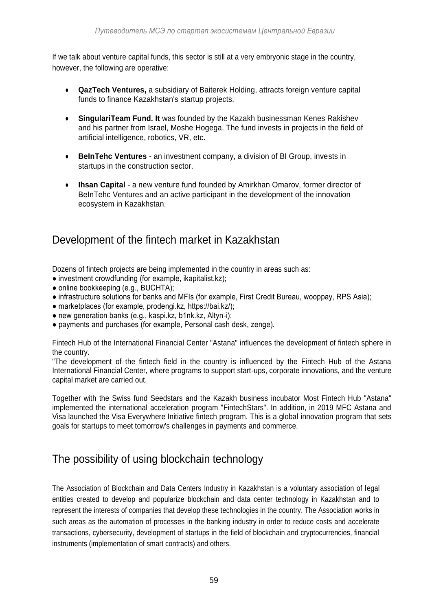If we talk about venture capital funds, this sector is still at a very embryonic stage in the country, however, the following are operative:

- **QazTech Ventures,** a subsidiary of Baiterek Holding, attracts foreign venture capital funds to finance Kazakhstan's startup projects.
- **SingulariTeam Fund. It** was founded by the Kazakh businessman Kenes Rakishev and his partner from Israel, Moshe Hogega. The fund invests in projects in the field of artificial intelligence, robotics, VR, etc.
- **BeInTehc Ventures** an investment company, a division of BI Group, invests in startups in the construction sector.
- **Ihsan Capital** a new venture fund founded by Amirkhan Omarov, former director of BeInTehc Ventures and an active participant in the development of the innovation ecosystem in Kazakhstan.

## Development of the fintech market in Kazakhstan

Dozens of fintech projects are being implemented in the country in areas such as:

- investment crowdfunding (for example, ikapitalist.kz);
- online bookkeeping (e.g., BUCHTA);
- infrastructure solutions for banks and MFIs (for example, First Credit Bureau, wooppay, RPS Asia);
- marketplaces (for example, prodengi.kz, https://bai.kz/);
- new generation banks (e.g., kaspi.kz, b1nk.kz, Altyn-i);
- payments and purchases (for example, Personal cash desk, zenge).

Fintech Hub of the International Financial Center "Astana" influences the development of fintech sphere in the country.

"The development of the fintech field in the country is influenced by the Fintech Hub of the Astana International Financial Center, where programs to support start-ups, corporate innovations, and the venture capital market are carried out.

Together with the Swiss fund Seedstars and the Kazakh business incubator Most Fintech Hub "Astana" implemented the international acceleration program "FintechStars". In addition, in 2019 MFC Astana and Visa launched the Visa Everywhere Initiative fintech program. This is a global innovation program that sets goals for startups to meet tomorrow's challenges in payments and commerce.

## The possibility of using blockchain technology

The Association of Blockchain and Data Centers Industry in Kazakhstan is a voluntary association of legal entities created to develop and popularize blockchain and data center technology in Kazakhstan and to represent the interests of companies that develop these technologies in the country. The Association works in such areas as the automation of processes in the banking industry in order to reduce costs and accelerate transactions, cybersecurity, development of startups in the field of blockchain and cryptocurrencies, financial instruments (implementation of smart contracts) and others.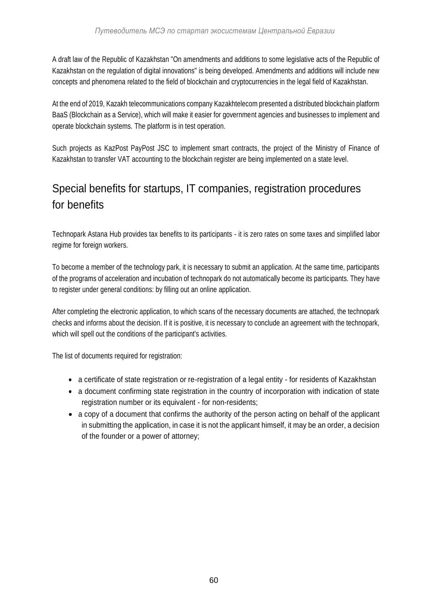A draft law of the Republic of Kazakhstan "On amendments and additions to some legislative acts of the Republic of Kazakhstan on the regulation of digital innovations" is being developed. Amendments and additions will include new concepts and phenomena related to the field of blockchain and cryptocurrencies in the legal field of Kazakhstan.

At the end of 2019, Kazakh telecommunications company Kazakhtelecom presented a distributed blockchain platform BaaS (Blockchain as a Service), which will make it easier for government agencies and businesses to implement and operate blockchain systems. The platform is in test operation.

Such projects as KazPost PayPost JSC to implement smart contracts, the project of the Ministry of Finance of Kazakhstan to transfer VAT accounting to the blockchain register are being implemented on a state level.

# Special benefits for startups, IT companies, registration procedures for benefits

Technopark Astana Hub provides tax benefits to its participants - it is zero rates on some taxes and simplified labor regime for foreign workers.

To become a member of the technology park, it is necessary to submit an application. At the same time, participants of the programs of acceleration and incubation of technopark do not automatically become its participants. They have to register under general conditions: by filling out an online application.

After completing the electronic application, to which scans of the necessary documents are attached, the technopark checks and informs about the decision. If it is positive, it is necessary to conclude an agreement with the technopark, which will spell out the conditions of the participant's activities.

The list of documents required for registration:

- a certificate of state registration or re-registration of a legal entity for residents of Kazakhstan
- a document confirming state registration in the country of incorporation with indication of state registration number or its equivalent - for non-residents;
- a copy of a document that confirms the authority of the person acting on behalf of the applicant in submitting the application, in case it is not the applicant himself, it may be an order, a decision of the founder or a power of attorney;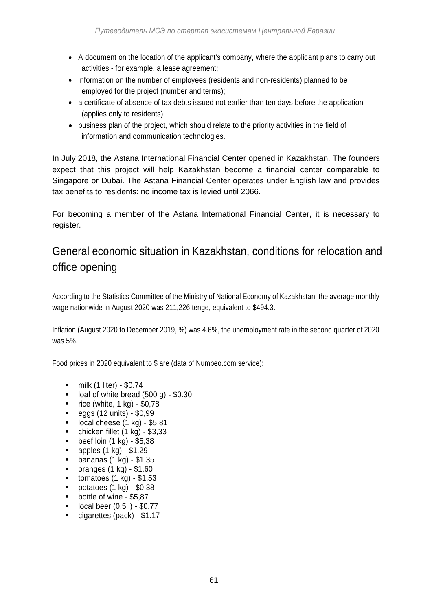- A document on the location of the applicant's company, where the applicant plans to carry out activities - for example, a lease agreement;
- information on the number of employees (residents and non-residents) planned to be employed for the project (number and terms);
- a certificate of absence of tax debts issued not earlier than ten days before the application (applies only to residents);
- business plan of the project, which should relate to the priority activities in the field of information and communication technologies.

In July 2018, the Astana International Financial Center opened in Kazakhstan. The founders expect that this project will help Kazakhstan become a financial center comparable to Singapore or Dubai. The Astana Financial Center operates under English law and provides tax benefits to residents: no income tax is levied until 2066.

For becoming a member of the Astana International Financial Center, it is necessary to register.

# General economic situation in Kazakhstan, conditions for relocation and office opening

According to the Statistics Committee of the Ministry of National Economy of Kazakhstan, the average monthly wage nationwide in August 2020 was 211,226 tenge, equivalent to \$494.3.

Inflation (August 2020 to December 2019, %) was 4.6%, the unemployment rate in the second quarter of 2020 was 5%.

Food prices in 2020 equivalent to \$ are (data of Numbeo.com service):

- $\blacksquare$  milk (1 liter) \$0.74
- loaf of white bread  $(500 g) $0.30$ <br>rice (white  $1 kg$ ) \$0.78
- rice (white, 1 kg) \$0,78
- $\bullet$  eggs (12 units) \$0,99
- $\blacksquare$  local cheese (1 kg) \$5,81
- chicken fillet (1 kg) \$3,33
- $\bullet$  beef loin (1 kg) \$5,38
- $\blacksquare$  apples (1 kg) \$1,29
- **bananas (1 kg) \$1,35**
- $\blacksquare$  oranges (1 kg) \$1.60
- $\blacksquare$  tomatoes (1 kg) \$1.53
- $\blacksquare$  potatoes (1 kg) \$0,38
- **bottle of wine \$5.87**
- $\blacksquare$  local beer  $(0.5 \, \text{l})$  \$0.77
- cigarettes (pack) \$1.17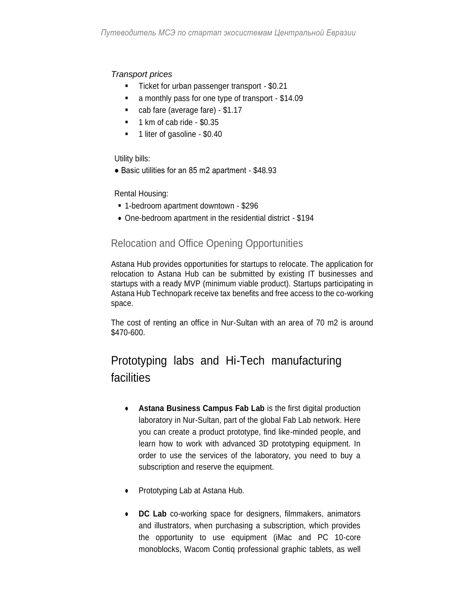#### *Transport prices*

- Ticket for urban passenger transport \$0.21
- a monthly pass for one type of transport \$14.09
- cab fare (average fare) \$1.17
- $\blacksquare$  1 km of cab ride \$0.35
- 1 liter of gasoline \$0.40

Utility bills:

● Basic utilities for an 85 m2 apartment - \$48.93

Rental Housing:

- 1-bedroom apartment downtown \$296
- One-bedroom apartment in the residential district \$194

#### Relocation and Office Opening Opportunities

Astana Hub provides opportunities for startups to relocate. The application for relocation to Astana Hub can be submitted by existing IT businesses and startups with a ready MVP (minimum viable product). Startups participating in Astana Hub Technopark receive tax benefits and free access to the co-working space.

The cost of renting an office in Nur-Sultan with an area of 70 m2 is around \$470-600.

# Prototyping labs and Hi-Tech manufacturing facilities

- **Astana Business Campus Fab Lab** is the first digital production laboratory in Nur-Sultan, part of the global Fab Lab network. Here you can create a product prototype, find like-minded people, and learn how to work with advanced 3D prototyping equipment. In order to use the services of the laboratory, you need to buy a subscription and reserve the equipment.
- Prototyping Lab at Astana Hub.
- **DC Lab** co-working space for designers, filmmakers, animators and illustrators, when purchasing a subscription, which provides the opportunity to use equipment (iMac and PC 10-core monoblocks, Wacom Contiq professional graphic tablets, as well